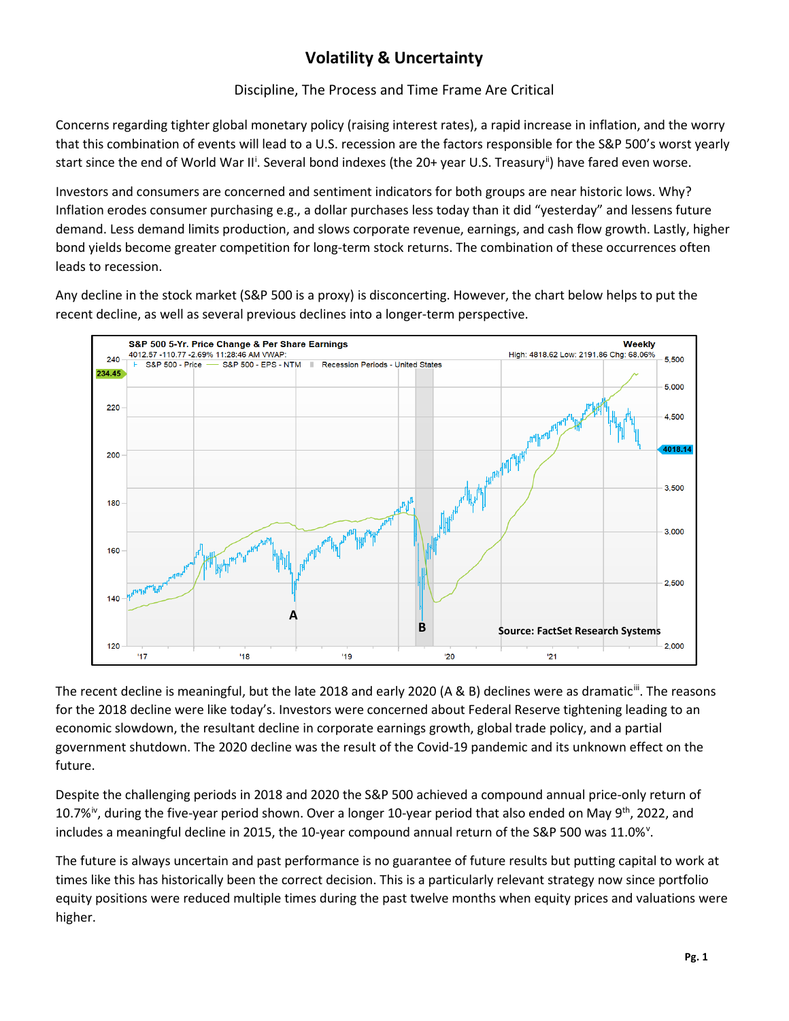# **Volatility & Uncertainty**

### Discipline, The Process and Time Frame Are Critical

Concerns regarding tighter global monetary policy (raising interest rates), a rapid increase in inflation, and the worry that this combination of events will lead to a U.S. recession are the factors responsible for the S&P 500's worst yearly start s[i](#page-2-0)nce the end of World War II<sup>i</sup>. Several bond indexes (the 20+ year U.S. Treasury<sup>ii</sup>) have fared even worse.

Investors and consumers are concerned and sentiment indicators for both groups are near historic lows. Why? Inflation erodes consumer purchasing e.g., a dollar purchases less today than it did "yesterday" and lessens future demand. Less demand limits production, and slows corporate revenue, earnings, and cash flow growth. Lastly, higher bond yields become greater competition for long-term stock returns. The combination of these occurrences often leads to recession.

Any decline in the stock market (S&P 500 is a proxy) is disconcerting. However, the chart below helps to put the recent decline, as well as several previous declines into a longer-term perspective.



The recent decline is meaningful, but the late 2018 and early 2020 (A & B) declines were as dramatic<sup>iii</sup>. The reasons for the 2018 decline were like today's. Investors were concerned about Federal Reserve tightening leading to an economic slowdown, the resultant decline in corporate earnings growth, global trade policy, and a partial government shutdown. The 2020 decline was the result of the Covid-19 pandemic and its unknown effect on the future.

Despite the challenging periods in 2018 and 2020 the S&P 500 achieved a compound annual price-only return of 10.7%<sup>iv</sup>, during the five-year period shown. Over a longer 10-year period that also ended on May 9<sup>th</sup>, 2022, and includes a meaningful decline in 2015, the 10-year compound annual return of the S&P 500 was 11.0%<sup>[v](#page-2-4)</sup>.

The future is always uncertain and past performance is no guarantee of future results but putting capital to work at times like this has historically been the correct decision. This is a particularly relevant strategy now since portfolio equity positions were reduced multiple times during the past twelve months when equity prices and valuations were higher.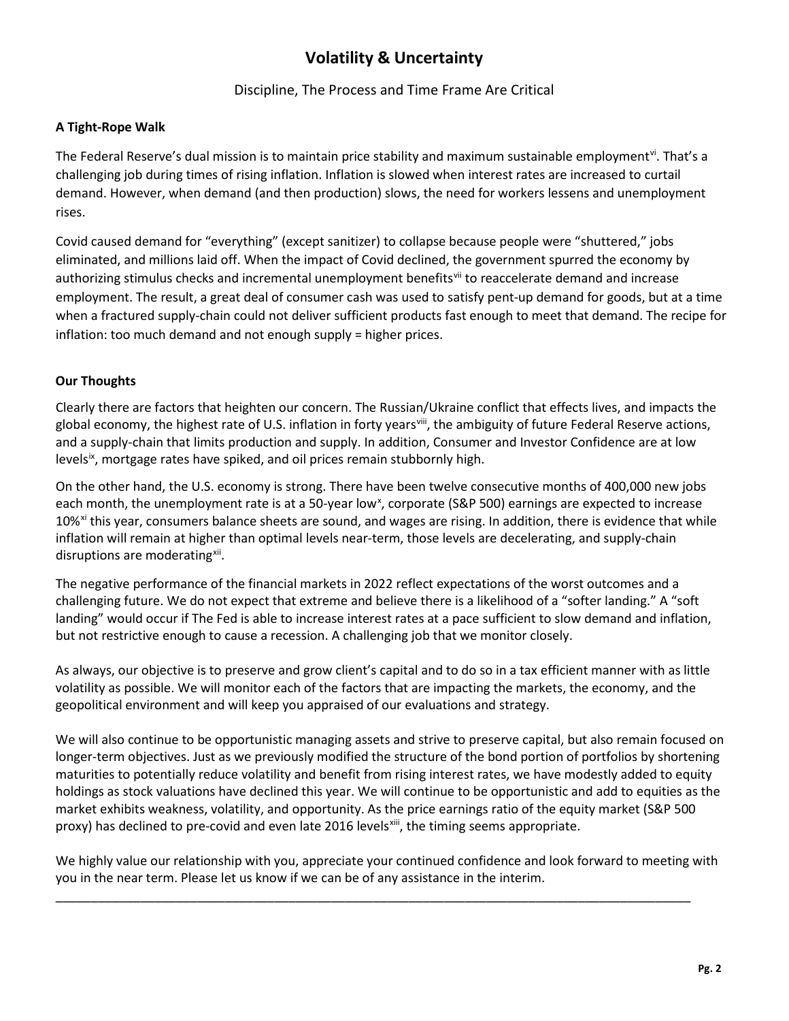## **Volatility & Uncertainty**

#### Discipline, The Process and Time Frame Are Critical

#### **A Tight-Rope Walk**

The Federal Reserve's dual mission is to maintain price stability and maximum sustainable employment<sup>[vi](#page-2-5)</sup>. That's a challenging job during times of rising inflation. Inflation is slowed when interest rates are increased to curtail demand. However, when demand (and then production) slows, the need for workers lessens and unemployment rises.

Covid caused demand for "everything" (except sanitizer) to collapse because people were "shuttered," jobs eliminated, and millions laid off. When the impact of Covid declined, the government spurred the economy by authorizing stimulus checks and incremental unemployment benefits<sup>[vii](#page-2-6)</sup> to reaccelerate demand and increase employment. The result, a great deal of consumer cash was used to satisfy pent-up demand for goods, but at a time when a fractured supply-chain could not deliver sufficient products fast enough to meet that demand. The recipe for inflation: too much demand and not enough supply = higher prices.

#### **Our Thoughts**

Clearly there are factors that heighten our concern. The Russian/Ukraine conflict that effects lives, and impacts the global economy, the highest rate of U.S. inflation in forty years<sup>[viii](#page-2-7)</sup>, the ambiguity of future Federal Reserve actions, and a supply-chain that limits production and supply. In addition, Consumer and Investor Confidence are at low levels<sup>ix</sup>, mortgage rates have spiked, and oil prices remain stubbornly high.

On the other hand, the U.S. economy is strong. There have been twelve consecutive months of 400,000 new jobs each month, the unemployment rate is at a 50-year low<sup>[x](#page-2-9)</sup>, corporate (S&P 500) earnings are expected to increase 10%<sup>[xi](#page-2-10)</sup> this year, consumers balance sheets are sound, and wages are rising. In addition, there is evidence that while inflation will remain at higher than optimal levels near-term, those levels are decelerating, and supply-chain disruptions are moderating<sup>xii</sup>.

The negative performance of the financial markets in 2022 reflect expectations of the worst outcomes and a challenging future. We do not expect that extreme and believe there is a likelihood of a "softer landing." A "soft landing" would occur if The Fed is able to increase interest rates at a pace sufficient to slow demand and inflation, but not restrictive enough to cause a recession. A challenging job that we monitor closely.

As always, our objective is to preserve and grow client's capital and to do so in a tax efficient manner with as little volatility as possible. We will monitor each of the factors that are impacting the markets, the economy, and the geopolitical environment and will keep you appraised of our evaluations and strategy.

We will also continue to be opportunistic managing assets and strive to preserve capital, but also remain focused on longer-term objectives. Just as we previously modified the structure of the bond portion of portfolios by shortening maturities to potentially reduce volatility and benefit from rising interest rates, we have modestly added to equity holdings as stock valuations have declined this year. We will continue to be opportunistic and add to equities as the market exhibits weakness, volatility, and opportunity. As the price earnings ratio of the equity market (S&P 500 proxy) has declined to pre-covid and even late 2016 levels<sup>[xiii](#page-2-12)</sup>, the timing seems appropriate.

We highly value our relationship with you, appreciate your continued confidence and look forward to meeting with you in the near term. Please let us know if we can be of any assistance in the interim.

\_\_\_\_\_\_\_\_\_\_\_\_\_\_\_\_\_\_\_\_\_\_\_\_\_\_\_\_\_\_\_\_\_\_\_\_\_\_\_\_\_\_\_\_\_\_\_\_\_\_\_\_\_\_\_\_\_\_\_\_\_\_\_\_\_\_\_\_\_\_\_\_\_\_\_\_\_\_\_\_\_\_\_\_\_\_\_\_\_\_